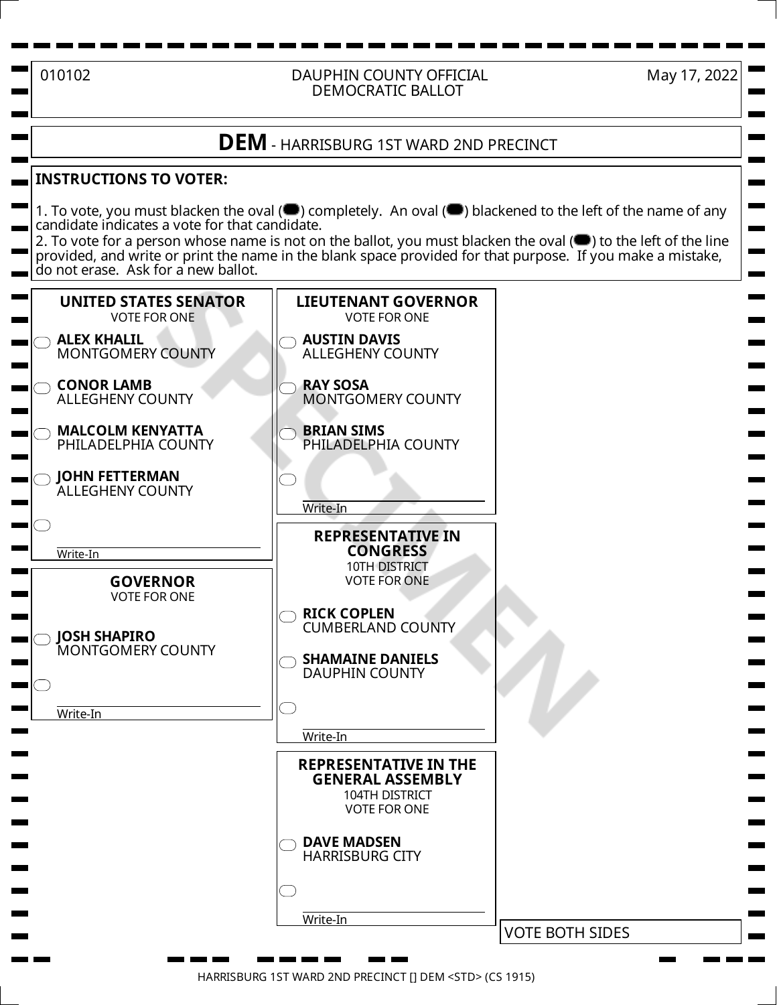## 010102 DAUPHIN COUNTY OFFICIAL DEMOCRATIC BALLOT

May 17, 2022

## **DEM** - HARRISBURG 1ST WARD 2ND PRECINCT

## **INSTRUCTIONS TO VOTER:**

1. To vote, you must blacken the oval ( $\blacksquare$ ) completely. An oval ( $\blacksquare$ ) blackened to the left of the name of any candidate indicates a vote for that candidate.

2. To vote for a person whose name is not on the ballot, you must blacken the oval  $($ **)** to the left of the line provided, and write or print the name in the blank space provided for that purpose. If you make a mistake, do not erase. Ask for a new ballot.